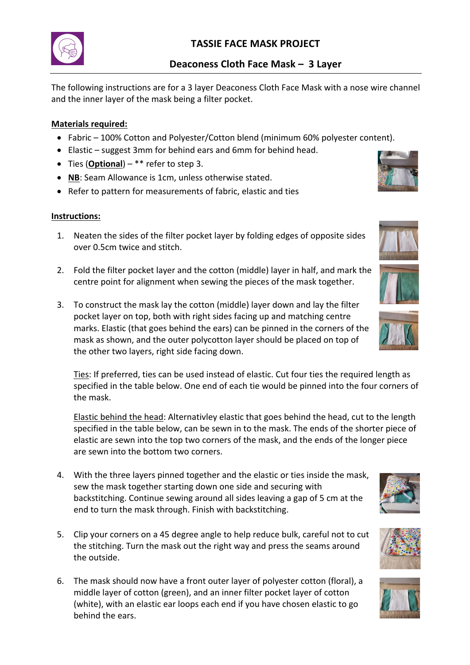# **TASSIE FACE MASK PROJECT**

## **Deaconess Cloth Face Mask – 3 Layer**

The following instructions are for a 3 layer Deaconess Cloth Face Mask with a nose wire channel and the inner layer of the mask being a filter pocket.

## **Materials required:**

- Fabric 100% Cotton and Polyester/Cotton blend (minimum 60% polyester content).
- Elastic suggest 3mm for behind ears and 6mm for behind head.
- Ties (**Optional**) \*\* refer to step 3.
- **NB**: Seam Allowance is 1cm, unless otherwise stated.
- Refer to pattern for measurements of fabric, elastic and ties

### **Instructions:**

- 1. Neaten the sides of the filter pocket layer by folding edges of opposite sides over 0.5cm twice and stitch.
- 2. Fold the filter pocket layer and the cotton (middle) layer in half, and mark the centre point for alignment when sewing the pieces of the mask together.
- 3. To construct the mask lay the cotton (middle) layer down and lay the filter pocket layer on top, both with right sides facing up and matching centre marks. Elastic (that goes behind the ears) can be pinned in the corners of the mask as shown, and the outer polycotton layer should be placed on top of the other two layers, right side facing down.

Ties: If preferred, ties can be used instead of elastic. Cut four ties the required length as specified in the table below. One end of each tie would be pinned into the four corners of the mask.

Elastic behind the head: Alternativley elastic that goes behind the head, cut to the length specified in the table below, can be sewn in to the mask. The ends of the shorter piece of elastic are sewn into the top two corners of the mask, and the ends of the longer piece are sewn into the bottom two corners.

- 4. With the three layers pinned together and the elastic or ties inside the mask, sew the mask together starting down one side and securing with backstitching. Continue sewing around all sides leaving a gap of 5 cm at the end to turn the mask through. Finish with backstitching.
- 5. Clip your corners on a 45 degree angle to help reduce bulk, careful not to cut the stitching. Turn the mask out the right way and press the seams around the outside.
- 6. The mask should now have a front outer layer of polyester cotton (floral), a middle layer of cotton (green), and an inner filter pocket layer of cotton (white), with an elastic ear loops each end if you have chosen elastic to go behind the ears.